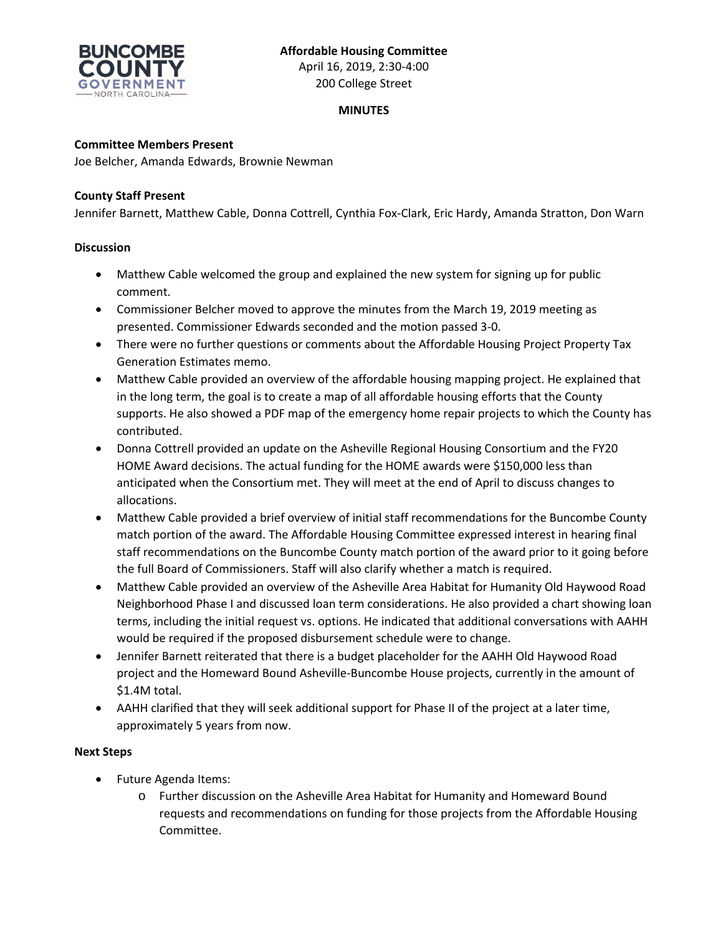

200 College Street

# **MINUTES**

## **Committee Members Present**

Joe Belcher, Amanda Edwards, Brownie Newman

### **County Staff Present**

Jennifer Barnett, Matthew Cable, Donna Cottrell, Cynthia Fox‐Clark, Eric Hardy, Amanda Stratton, Don Warn

### **Discussion**

- Matthew Cable welcomed the group and explained the new system for signing up for public comment.
- Commissioner Belcher moved to approve the minutes from the March 19, 2019 meeting as presented. Commissioner Edwards seconded and the motion passed 3‐0.
- There were no further questions or comments about the Affordable Housing Project Property Tax Generation Estimates memo.
- Matthew Cable provided an overview of the affordable housing mapping project. He explained that in the long term, the goal is to create a map of all affordable housing efforts that the County supports. He also showed a PDF map of the emergency home repair projects to which the County has contributed.
- Donna Cottrell provided an update on the Asheville Regional Housing Consortium and the FY20 HOME Award decisions. The actual funding for the HOME awards were \$150,000 less than anticipated when the Consortium met. They will meet at the end of April to discuss changes to allocations.
- Matthew Cable provided a brief overview of initial staff recommendations for the Buncombe County match portion of the award. The Affordable Housing Committee expressed interest in hearing final staff recommendations on the Buncombe County match portion of the award prior to it going before the full Board of Commissioners. Staff will also clarify whether a match is required.
- Matthew Cable provided an overview of the Asheville Area Habitat for Humanity Old Haywood Road Neighborhood Phase I and discussed loan term considerations. He also provided a chart showing loan terms, including the initial request vs. options. He indicated that additional conversations with AAHH would be required if the proposed disbursement schedule were to change.
- Jennifer Barnett reiterated that there is a budget placeholder for the AAHH Old Haywood Road project and the Homeward Bound Asheville‐Buncombe House projects, currently in the amount of \$1.4M total.
- AAHH clarified that they will seek additional support for Phase II of the project at a later time, approximately 5 years from now.

## **Next Steps**

- Future Agenda Items:
	- o Further discussion on the Asheville Area Habitat for Humanity and Homeward Bound requests and recommendations on funding for those projects from the Affordable Housing Committee.